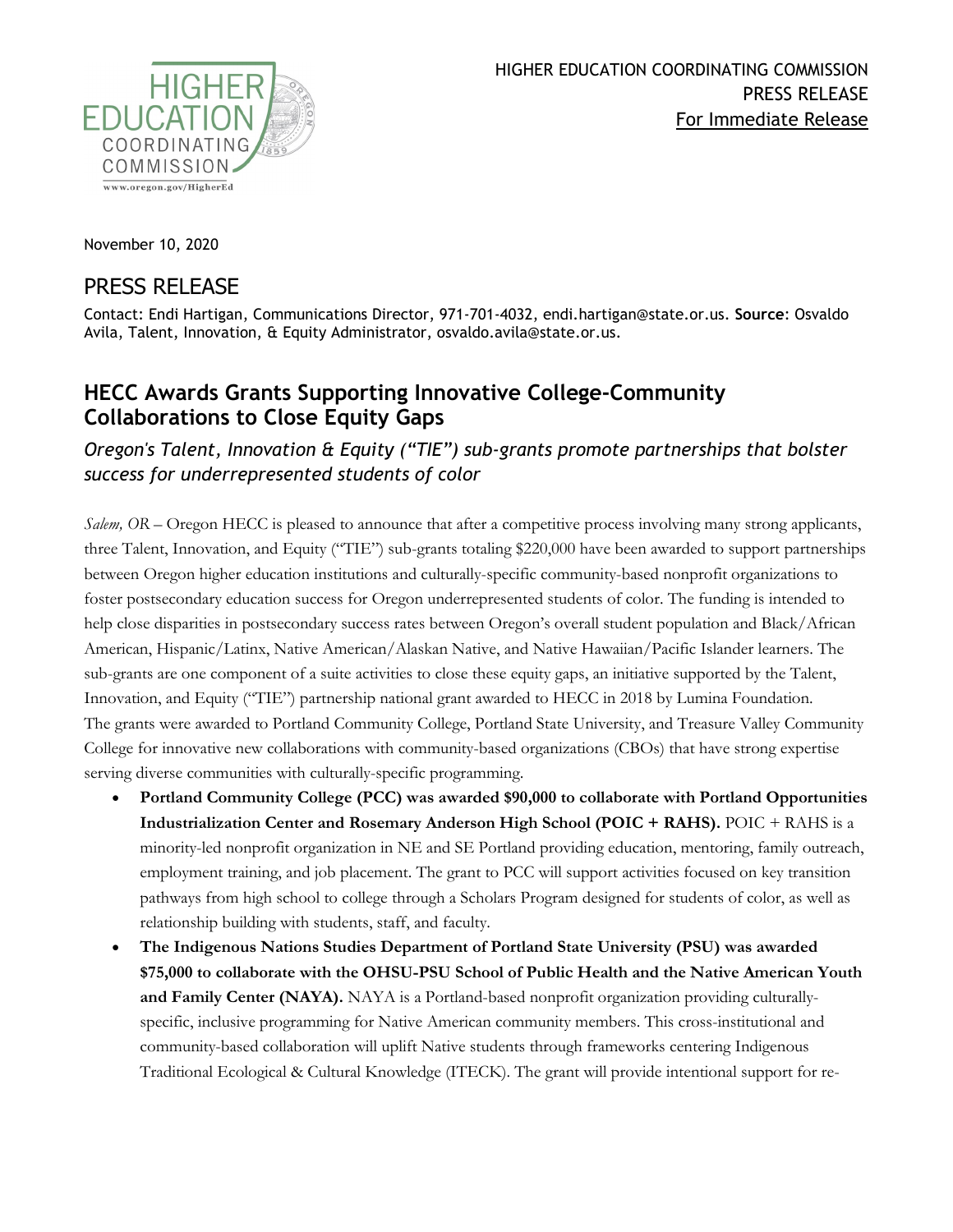

November 10, 2020

## PRESS RELEASE

Contact: Endi Hartigan, Communications Director, 971-701-4032, endi.hartigan@state.or.us. **Source**: Osvaldo Avila, Talent, Innovation, & Equity Administrator, osvaldo.avila@state.or.us.

## **HECC Awards Grants Supporting Innovative College-Community Collaborations to Close Equity Gaps**

## *Oregon's Talent, Innovation & Equity ("TIE") sub-grants promote partnerships that bolster success for underrepresented students of color*

*Salem, OR* – Oregon HECC is pleased to announce that after a competitive process involving many strong applicants, three Talent, Innovation, and Equity ("TIE") sub-grants totaling \$220,000 have been awarded to support partnerships between Oregon higher education institutions and culturally-specific community-based nonprofit organizations to foster postsecondary education success for Oregon underrepresented students of color. The funding is intended to help close disparities in postsecondary success rates between Oregon's overall student population and Black/African American, Hispanic/Latinx, Native American/Alaskan Native, and Native Hawaiian/Pacific Islander learners. The sub-grants are one component of a suite activities to close these equity gaps, an initiative supported by the Talent, Innovation, and Equity ("TIE") partnership national grant awarded to HECC in 2018 by Lumina Foundation. The grants were awarded to Portland Community College, Portland State University, and Treasure Valley Community College for innovative new collaborations with community-based organizations (CBOs) that have strong expertise serving diverse communities with culturally-specific programming.

- **Portland Community College (PCC) was awarded \$90,000 to collaborate with Portland Opportunities Industrialization Center and Rosemary Anderson High School (POIC + RAHS).** POIC + RAHS is a minority-led nonprofit organization in NE and SE Portland providing education, mentoring, family outreach, employment training, and job placement. The grant to PCC will support activities focused on key transition pathways from high school to college through a Scholars Program designed for students of color, as well as relationship building with students, staff, and faculty.
- **The Indigenous Nations Studies Department of Portland State University (PSU) was awarded \$75,000 to collaborate with the OHSU-PSU School of Public Health and the Native American Youth and Family Center (NAYA).** NAYA is a Portland-based nonprofit organization providing culturallyspecific, inclusive programming for Native American community members. This cross-institutional and community-based collaboration will uplift Native students through frameworks centering Indigenous Traditional Ecological & Cultural Knowledge (ITECK). The grant will provide intentional support for re-